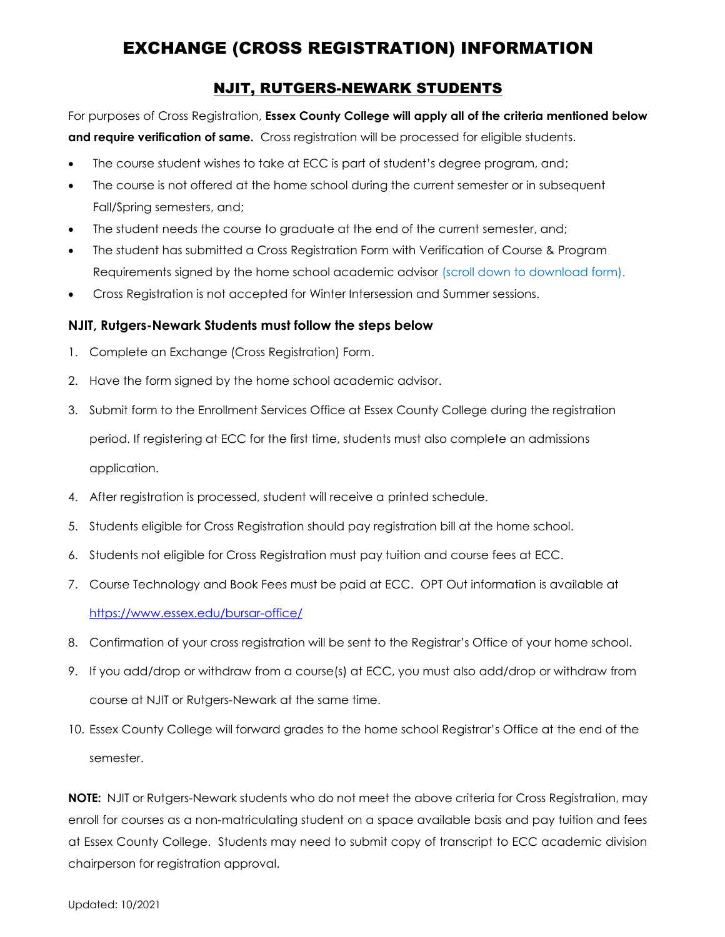# EXCHANGE (CROSS REGISTRATION) INFORMATION

## NJIT, RUTGERS-NEWARK STUDENTS

For purposes of Cross Registration, **Essex County College will apply all of the criteria mentioned below and require verification of same.** Cross registration will be processed for eligible students.

- The course student wishes to take at ECC is part of student's degree program, and;
- The course is not offered at the home school during the current semester or in subsequent Fall/Spring semesters, and;
- The student needs the course to graduate at the end of the current semester, and;
- The student has submitted a Cross Registration Form with Verification of Course & Program Requirements signed by the home school academic advisor (scroll down to download form).
- Cross Registration is not accepted for Winter Intersession and Summer sessions.

### **NJIT, Rutgers-Newark Students must follow the steps below**

- 1. Complete an Exchange (Cross Registration) Form.
- 2. Have the form signed by the home school academic advisor.
- 3. Submit form to the Enrollment Services Office at Essex County College during the registration period. If registering at ECC for the first time, students must also complete an admissions application.
- 4. After registration is processed, student will receive a printed schedule.
- 5. Students eligible for Cross Registration should pay registration bill at the home school.
- 6. Students not eligible for Cross Registration must pay tuition and course fees at ECC.
- 7. Course Technology and Book Fees must be paid at ECC. OPT Out information is available at <https://www.essex.edu/bursar-office/>
- 8. Confirmation of your cross registration will be sent to the Registrar's Office of your home school.
- 9. If you add/drop or withdraw from a course(s) at ECC, you must also add/drop or withdraw from course at NJIT or Rutgers-Newark at the same time.
- 10. Essex County College will forward grades to the home school Registrar's Office at the end of the semester.

**NOTE:** NJIT or Rutgers-Newark students who do not meet the above criteria for Cross Registration, may enroll for courses as a non-matriculating student on a space available basis and pay tuition and fees at Essex County College. Students may need to submit copy of transcript to ECC academic division chairperson for registration approval.